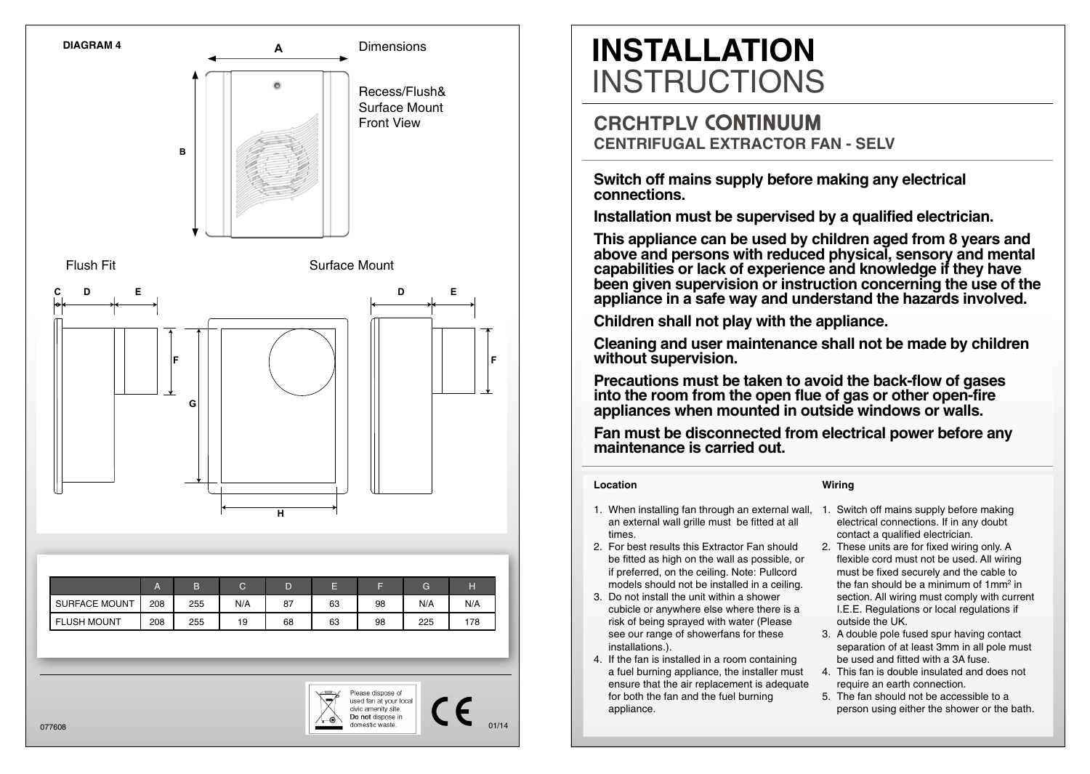



01/14

# **INSTALLATION INSTRUCTIONS**

### **CRCHTPLV CONTINUUM CENTRIFUGAL EXTRACTOR FAN - SELV**

**Switch off mains supply before making any electrical connections.**

**Installation must be supervised by a qualified electrician.** 

**This appliance can be used by children aged from 8 years and above and persons with reduced physical, sensory and mental capabilities or lack of experience and knowledge if they have been given supervision or instruction concerning the use of the appliance in a safe way and understand the hazards involved.** 

**Children shall not play with the appliance.** 

**Cleaning and user maintenance shall not be made by children without supervision.**

**Precautions must be taken to avoid the back-flow of gases into the room from the open flue of gas or other open-fire appliances when mounted in outside windows or walls.**

**Fan must be disconnected from electrical power before any maintenance is carried out.**

### **Location**

**Wiring**

- 1. When installing fan through an external wall, 1. Switch off mains supply before making an external wall grille must be fitted at all times.
- 2. For best results this Extractor Fan should be fitted as high on the wall as possible, or if preferred, on the ceiling. Note: Pullcord models should not be installed in a ceiling.
- 3. Do not install the unit within a shower cubicle or anywhere else where there is a risk of being sprayed with water (Please see our range of showerfans for these installations.).
- 4. If the fan is installed in a room containing a fuel burning appliance, the installer must ensure that the air replacement is adequate for both the fan and the fuel burning appliance.
- electrical connections. If in any doubt contact a qualified electrician.
- 2. These units are for fixed wiring only. A flexible cord must not be used. All wiring must be fixed securely and the cable to the fan should be a minimum of 1mm<sup>2</sup> in section. All wiring must comply with current I.E.E. Regulations or local regulations if outside the UK.
- 3. A double pole fused spur having contact separation of at least 3mm in all pole must be used and fitted with a 3A fuse.
- 4. This fan is double insulated and does not require an earth connection.
- 5. The fan should not be accessible to a person using either the shower or the bath.